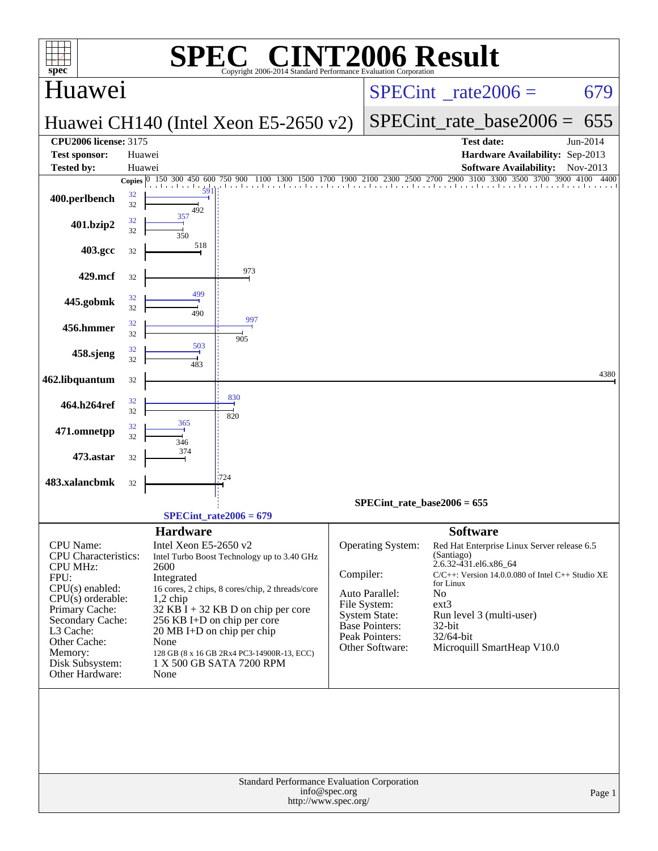| spec                                      |                  | SPE                                      | C <sup>®</sup> CINT2006 Result<br>Copyright 2006-2014 Standard Performance Evaluation Corporation |                                 |                                      |                                     |                                                                  |          |
|-------------------------------------------|------------------|------------------------------------------|---------------------------------------------------------------------------------------------------|---------------------------------|--------------------------------------|-------------------------------------|------------------------------------------------------------------|----------|
| Huawei                                    |                  |                                          |                                                                                                   | $SPECint^{\circ}$ rate $2006 =$ |                                      |                                     | 679                                                              |          |
|                                           |                  |                                          | Huawei CH140 (Intel Xeon E5-2650 v2)                                                              |                                 |                                      |                                     | $SPECint$ rate base2006 =                                        | 655      |
| <b>CPU2006 license: 3175</b>              |                  |                                          |                                                                                                   |                                 |                                      |                                     | <b>Test date:</b>                                                | Jun-2014 |
| <b>Test sponsor:</b><br><b>Tested by:</b> | Huawei<br>Huawei |                                          |                                                                                                   |                                 |                                      |                                     | Hardware Availability: Sep-2013<br><b>Software Availability:</b> | Nov-2013 |
|                                           |                  | Copies 0 150 300 450 600<br>a basala a b | 50 900 1100 1300 1500 1700 1900 2100 2300 2500 2700 2900 3100 3300 3500 3700 3900 4100<br>750 900 |                                 |                                      |                                     |                                                                  | 4400     |
| 400.perlbench                             | 32<br>32         | 59<br>492                                |                                                                                                   |                                 |                                      |                                     |                                                                  |          |
| 401.bzip2                                 | 32<br>32         | 357<br>350                               |                                                                                                   |                                 |                                      |                                     |                                                                  |          |
| 403.gcc                                   | 32               | 518                                      |                                                                                                   |                                 |                                      |                                     |                                                                  |          |
| 429.mcf                                   | 32               |                                          | 973                                                                                               |                                 |                                      |                                     |                                                                  |          |
| 445.gobmk                                 | 32<br>32         | 499<br>490                               |                                                                                                   |                                 |                                      |                                     |                                                                  |          |
| 456.hmmer                                 | 32<br>32         |                                          | 997<br>905                                                                                        |                                 |                                      |                                     |                                                                  |          |
| 458.sjeng                                 | 32<br>32         | 503<br>483                               |                                                                                                   |                                 |                                      |                                     |                                                                  |          |
| 462.libquantum                            | 32               |                                          |                                                                                                   |                                 |                                      |                                     |                                                                  | 4380     |
| 464.h264ref                               | 32<br>32         |                                          | 830<br>820                                                                                        |                                 |                                      |                                     |                                                                  |          |
| 471.omnetpp                               | 32<br>32         | 365<br>346                               |                                                                                                   |                                 |                                      |                                     |                                                                  |          |
| 473.astar                                 | 32               | 374                                      |                                                                                                   |                                 |                                      |                                     |                                                                  |          |
| 483.xalancbmk                             | 32               |                                          | 724                                                                                               |                                 |                                      |                                     |                                                                  |          |
|                                           |                  |                                          | $SPECint rate2006 = 679$                                                                          |                                 | SPECint rate base $2006 = 655$       |                                     |                                                                  |          |
|                                           |                  | <b>Hardware</b>                          |                                                                                                   |                                 |                                      | <b>Software</b>                     |                                                                  |          |
| CPU Name:<br><b>CPU</b> Characteristics:  |                  | Intel Xeon E5-2650 v2                    | Intel Turbo Boost Technology up to 3.40 GHz                                                       |                                 | <b>Operating System:</b>             | (Santiago)<br>2.6.32-431.el6.x86 64 | Red Hat Enterprise Linux Server release 6.5                      |          |
| <b>CPU MHz:</b><br>FPU:                   |                  | 2600<br>Integrated                       |                                                                                                   | Compiler:                       |                                      |                                     | $C/C++$ : Version 14.0.0.080 of Intel $C++$ Studio XE            |          |
| $CPU(s)$ enabled:<br>$CPU(s)$ orderable:  |                  |                                          | 16 cores, 2 chips, 8 cores/chip, 2 threads/core                                                   |                                 | Auto Parallel:                       | for Linux<br>No                     |                                                                  |          |
| Primary Cache:                            |                  | $1,2$ chip                               | $32$ KB I + 32 KB D on chip per core                                                              |                                 | File System:<br><b>System State:</b> | ext3                                | Run level 3 (multi-user)                                         |          |
| Secondary Cache:<br>L3 Cache:             |                  |                                          | 256 KB I+D on chip per core<br>20 MB I+D on chip per chip                                         |                                 | <b>Base Pointers:</b>                | $32$ -bit                           |                                                                  |          |
| Other Cache:                              |                  | None                                     |                                                                                                   |                                 | Peak Pointers:<br>Other Software:    | 32/64-bit                           | Microquill SmartHeap V10.0                                       |          |
| Memory:<br>Disk Subsystem:                |                  |                                          | 128 GB (8 x 16 GB 2Rx4 PC3-14900R-13, ECC)<br>1 X 500 GB SATA 7200 RPM                            |                                 |                                      |                                     |                                                                  |          |
| Other Hardware:                           |                  | None                                     |                                                                                                   |                                 |                                      |                                     |                                                                  |          |
|                                           |                  |                                          |                                                                                                   |                                 |                                      |                                     |                                                                  |          |
|                                           |                  |                                          | Standard Performance Evaluation Corporation<br>http://www.spec.org/                               | info@spec.org                   |                                      |                                     |                                                                  | Page 1   |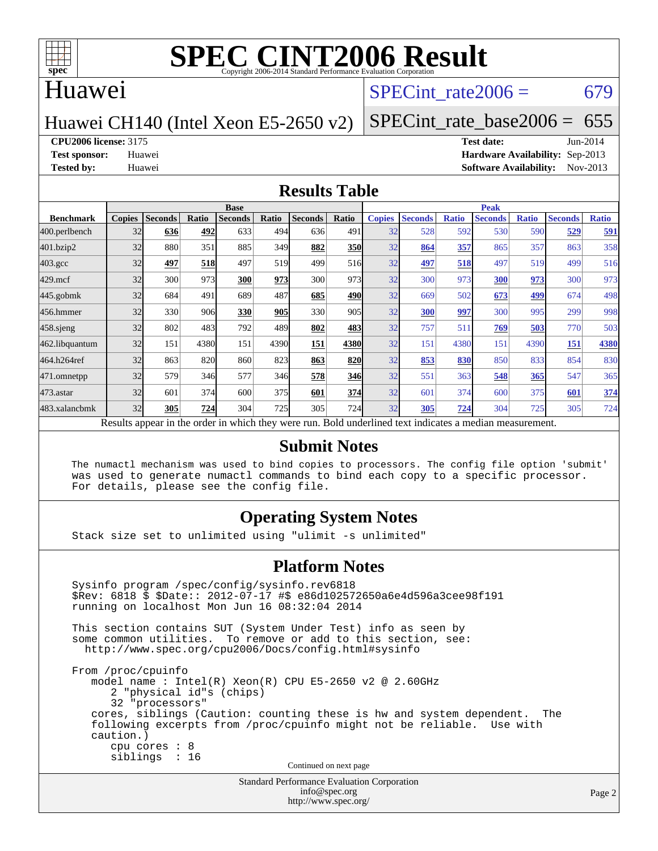

### Huawei

### SPECint rate $2006 = 679$

### Huawei CH140 (Intel Xeon E5-2650 v2)

[SPECint\\_rate\\_base2006 =](http://www.spec.org/auto/cpu2006/Docs/result-fields.html#SPECintratebase2006)  $655$ 

**[CPU2006 license:](http://www.spec.org/auto/cpu2006/Docs/result-fields.html#CPU2006license)** 3175 **[Test date:](http://www.spec.org/auto/cpu2006/Docs/result-fields.html#Testdate)** Jun-2014

**[Test sponsor:](http://www.spec.org/auto/cpu2006/Docs/result-fields.html#Testsponsor)** Huawei **[Hardware Availability:](http://www.spec.org/auto/cpu2006/Docs/result-fields.html#HardwareAvailability)** Sep-2013 **[Tested by:](http://www.spec.org/auto/cpu2006/Docs/result-fields.html#Testedby)** Huawei **[Software Availability:](http://www.spec.org/auto/cpu2006/Docs/result-fields.html#SoftwareAvailability)** Nov-2013

### **[Results Table](http://www.spec.org/auto/cpu2006/Docs/result-fields.html#ResultsTable)**

|                                                                                                          | <b>Base</b>   |                |       |                |       |                |            | <b>Peak</b>   |                |              |                |              |                |              |
|----------------------------------------------------------------------------------------------------------|---------------|----------------|-------|----------------|-------|----------------|------------|---------------|----------------|--------------|----------------|--------------|----------------|--------------|
| <b>Benchmark</b>                                                                                         | <b>Copies</b> | <b>Seconds</b> | Ratio | <b>Seconds</b> | Ratio | <b>Seconds</b> | Ratio      | <b>Copies</b> | <b>Seconds</b> | <b>Ratio</b> | <b>Seconds</b> | <b>Ratio</b> | <b>Seconds</b> | <b>Ratio</b> |
| 400.perlbench                                                                                            | 32            | 636            | 492   | 633            | 494   | 636            | 491        | 32            | 528            | 592          | 530            | 590          | 529            | 591          |
| 401.bzip2                                                                                                | 32            | 880            | 351   | 885            | 349   | 882            | <b>350</b> | 32            | 864            | 357          | 865            | 357          | 863            | 358          |
| $403.\mathrm{gcc}$                                                                                       | 32            | 497            | 518   | 497            | 519   | 499            | 516        | 32            | 497            | 518          | 497            | 519          | 499            | 516          |
| $429$ .mcf                                                                                               | 32            | 300            | 973   | 300            | 973   | 300            | 973        | 32            | 300            | 973          | 300            | 973          | 300            | 973          |
| $445$ .gobmk                                                                                             | 32            | 684            | 491   | 689            | 487   | 685            | 490        | 32            | 669            | 502          | 673            | 499          | 674            | 498          |
| 456.hmmer                                                                                                | 32            | 330            | 906   | 330            | 905   | 330            | 905        | 32            | 300            | 997          | 300            | 995          | 299            | 998          |
| $458$ .sjeng                                                                                             | 32            | 802            | 483   | 792            | 489   | 802            | 483        | 32            | 757            | 511          | 769            | 503          | 770            | 503          |
| 462.libquantum                                                                                           | 32            | 151            | 4380  | 151            | 4390  | <b>151</b>     | 4380       | 32            | 151            | 4380         | 151            | 4390         | 151            | 4380         |
| 464.h264ref                                                                                              | 32            | 863            | 820   | 860            | 823   | 863            | 820        | 32            | 853            | 830          | 850            | 833          | 854            | 830          |
| 471.omnetpp                                                                                              | 32            | 579            | 346   | 577            | 346   | 578            | 346        | 32            | 551            | 363          | 548            | 365          | 547            | 365          |
| $473$ . astar                                                                                            | 32            | 601            | 374   | 600            | 375   | 601            | 374        | 32            | 601            | 374          | 600            | 375          | 601            | 374          |
| 483.xalancbmk                                                                                            | 32            | 305            | 724   | 304            | 725   | 305            | 724        | 32            | 305            | 724          | 304            | 725          | 305            | 724          |
| Results appear in the order in which they were run. Bold underlined text indicates a median measurement. |               |                |       |                |       |                |            |               |                |              |                |              |                |              |

### **[Submit Notes](http://www.spec.org/auto/cpu2006/Docs/result-fields.html#SubmitNotes)**

 The numactl mechanism was used to bind copies to processors. The config file option 'submit' was used to generate numactl commands to bind each copy to a specific processor. For details, please see the config file.

### **[Operating System Notes](http://www.spec.org/auto/cpu2006/Docs/result-fields.html#OperatingSystemNotes)**

Stack size set to unlimited using "ulimit -s unlimited"

### **[Platform Notes](http://www.spec.org/auto/cpu2006/Docs/result-fields.html#PlatformNotes)**

```
Standard Performance Evaluation Corporation
 Sysinfo program /spec/config/sysinfo.rev6818
 $Rev: 6818 $ $Date:: 2012-07-17 #$ e86d102572650a6e4d596a3cee98f191
 running on localhost Mon Jun 16 08:32:04 2014
 This section contains SUT (System Under Test) info as seen by
some common utilities. To remove or add to this section, see:
  http://www.spec.org/cpu2006/Docs/config.html#sysinfo
 From /proc/cpuinfo
    model name : Intel(R) Xeon(R) CPU E5-2650 v2 @ 2.60GHz
       2 "physical id"s (chips)
       32 "processors"
    cores, siblings (Caution: counting these is hw and system dependent. The
    following excerpts from /proc/cpuinfo might not be reliable. Use with
    caution.)
       cpu cores : 8
       siblings : 16
                                   Continued on next page
```
[info@spec.org](mailto:info@spec.org) <http://www.spec.org/>

Page 2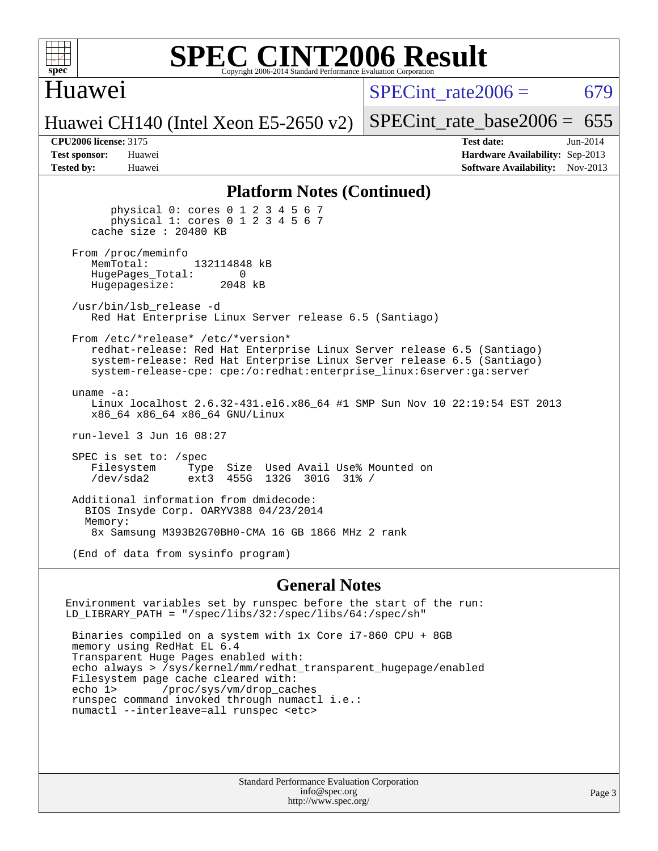

### Huawei

SPECint rate $2006 = 679$ 

Huawei CH140 (Intel Xeon E5-2650 v2)

[SPECint\\_rate\\_base2006 =](http://www.spec.org/auto/cpu2006/Docs/result-fields.html#SPECintratebase2006)  $655$ 

**[CPU2006 license:](http://www.spec.org/auto/cpu2006/Docs/result-fields.html#CPU2006license)** 3175 **[Test date:](http://www.spec.org/auto/cpu2006/Docs/result-fields.html#Testdate)** Jun-2014 **[Test sponsor:](http://www.spec.org/auto/cpu2006/Docs/result-fields.html#Testsponsor)** Huawei **[Hardware Availability:](http://www.spec.org/auto/cpu2006/Docs/result-fields.html#HardwareAvailability)** Sep-2013 **[Tested by:](http://www.spec.org/auto/cpu2006/Docs/result-fields.html#Testedby)** Huawei **[Software Availability:](http://www.spec.org/auto/cpu2006/Docs/result-fields.html#SoftwareAvailability)** Nov-2013

### **[Platform Notes \(Continued\)](http://www.spec.org/auto/cpu2006/Docs/result-fields.html#PlatformNotes)**

 physical 0: cores 0 1 2 3 4 5 6 7 physical 1: cores 0 1 2 3 4 5 6 7 cache size : 20480 KB From /proc/meminfo<br>MemTotal: 132114848 kB HugePages\_Total: 0<br>Hugepagesize: 2048 kB Hugepagesize: /usr/bin/lsb\_release -d Red Hat Enterprise Linux Server release 6.5 (Santiago) From /etc/\*release\* /etc/\*version\* redhat-release: Red Hat Enterprise Linux Server release 6.5 (Santiago) system-release: Red Hat Enterprise Linux Server release 6.5 (Santiago) system-release-cpe: cpe:/o:redhat:enterprise\_linux:6server:ga:server uname -a: Linux localhost 2.6.32-431.el6.x86\_64 #1 SMP Sun Nov 10 22:19:54 EST 2013 x86\_64 x86\_64 x86\_64 GNU/Linux run-level 3 Jun 16 08:27 SPEC is set to: /spec Filesystem Type Size Used Avail Use% Mounted on<br>
/dev/sda2 ext3 455G 132G 301G 31% / /dev/sda2 ext3 455G 132G 301G 31% / Additional information from dmidecode: BIOS Insyde Corp. OARYV388 04/23/2014 Memory: 8x Samsung M393B2G70BH0-CMA 16 GB 1866 MHz 2 rank (End of data from sysinfo program)

### **[General Notes](http://www.spec.org/auto/cpu2006/Docs/result-fields.html#GeneralNotes)**

Environment variables set by runspec before the start of the run: LD\_LIBRARY\_PATH = "/spec/libs/32:/spec/libs/64:/spec/sh" Binaries compiled on a system with 1x Core i7-860 CPU + 8GB memory using RedHat EL 6.4 Transparent Huge Pages enabled with: echo always > /sys/kernel/mm/redhat\_transparent\_hugepage/enabled Filesystem page cache cleared with:<br>echo 1> /proc/sys/vm/drop cac /proc/sys/vm/drop\_caches runspec command invoked through numactl i.e.: numactl --interleave=all runspec <etc>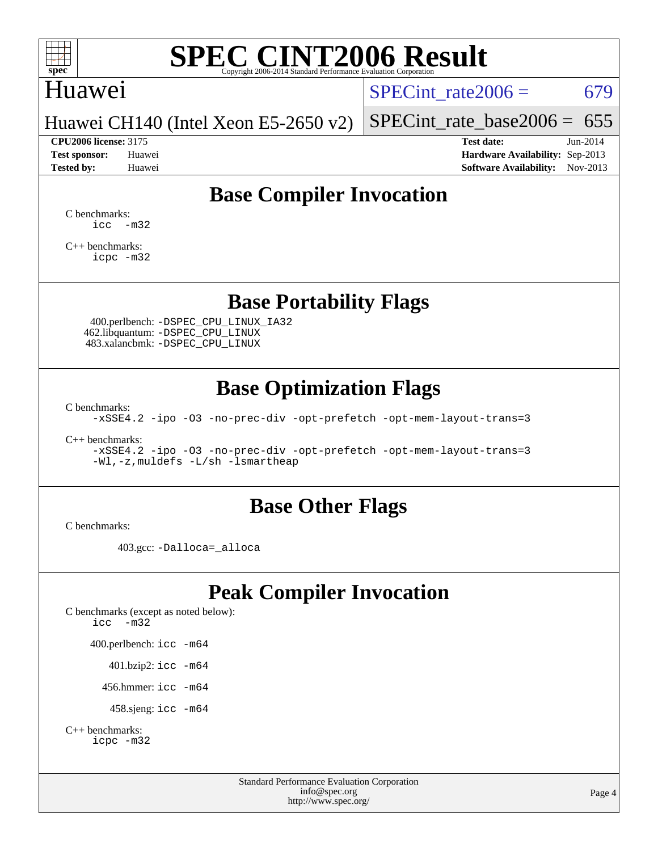

### Huawei

SPECint rate $2006 = 679$ 

Huawei CH140 (Intel Xeon E5-2650 v2)

**[Test sponsor:](http://www.spec.org/auto/cpu2006/Docs/result-fields.html#Testsponsor)** Huawei **[Hardware Availability:](http://www.spec.org/auto/cpu2006/Docs/result-fields.html#HardwareAvailability)** Sep-2013 **[Tested by:](http://www.spec.org/auto/cpu2006/Docs/result-fields.html#Testedby)** Huawei **[Software Availability:](http://www.spec.org/auto/cpu2006/Docs/result-fields.html#SoftwareAvailability)** Nov-2013

[SPECint\\_rate\\_base2006 =](http://www.spec.org/auto/cpu2006/Docs/result-fields.html#SPECintratebase2006)  $655$ **[CPU2006 license:](http://www.spec.org/auto/cpu2006/Docs/result-fields.html#CPU2006license)** 3175 **[Test date:](http://www.spec.org/auto/cpu2006/Docs/result-fields.html#Testdate)** Jun-2014

**[Base Compiler Invocation](http://www.spec.org/auto/cpu2006/Docs/result-fields.html#BaseCompilerInvocation)**

[C benchmarks](http://www.spec.org/auto/cpu2006/Docs/result-fields.html#Cbenchmarks):  $\text{icc}$   $-\text{m32}$ 

[C++ benchmarks:](http://www.spec.org/auto/cpu2006/Docs/result-fields.html#CXXbenchmarks) [icpc -m32](http://www.spec.org/cpu2006/results/res2014q3/cpu2006-20140619-29973.flags.html#user_CXXbase_intel_icpc_4e5a5ef1a53fd332b3c49e69c3330699)

### **[Base Portability Flags](http://www.spec.org/auto/cpu2006/Docs/result-fields.html#BasePortabilityFlags)**

 400.perlbench: [-DSPEC\\_CPU\\_LINUX\\_IA32](http://www.spec.org/cpu2006/results/res2014q3/cpu2006-20140619-29973.flags.html#b400.perlbench_baseCPORTABILITY_DSPEC_CPU_LINUX_IA32) 462.libquantum: [-DSPEC\\_CPU\\_LINUX](http://www.spec.org/cpu2006/results/res2014q3/cpu2006-20140619-29973.flags.html#b462.libquantum_baseCPORTABILITY_DSPEC_CPU_LINUX) 483.xalancbmk: [-DSPEC\\_CPU\\_LINUX](http://www.spec.org/cpu2006/results/res2014q3/cpu2006-20140619-29973.flags.html#b483.xalancbmk_baseCXXPORTABILITY_DSPEC_CPU_LINUX)

## **[Base Optimization Flags](http://www.spec.org/auto/cpu2006/Docs/result-fields.html#BaseOptimizationFlags)**

[C benchmarks](http://www.spec.org/auto/cpu2006/Docs/result-fields.html#Cbenchmarks):

[-xSSE4.2](http://www.spec.org/cpu2006/results/res2014q3/cpu2006-20140619-29973.flags.html#user_CCbase_f-xSSE42_f91528193cf0b216347adb8b939d4107) [-ipo](http://www.spec.org/cpu2006/results/res2014q3/cpu2006-20140619-29973.flags.html#user_CCbase_f-ipo) [-O3](http://www.spec.org/cpu2006/results/res2014q3/cpu2006-20140619-29973.flags.html#user_CCbase_f-O3) [-no-prec-div](http://www.spec.org/cpu2006/results/res2014q3/cpu2006-20140619-29973.flags.html#user_CCbase_f-no-prec-div) [-opt-prefetch](http://www.spec.org/cpu2006/results/res2014q3/cpu2006-20140619-29973.flags.html#user_CCbase_f-opt-prefetch) [-opt-mem-layout-trans=3](http://www.spec.org/cpu2006/results/res2014q3/cpu2006-20140619-29973.flags.html#user_CCbase_f-opt-mem-layout-trans_a7b82ad4bd7abf52556d4961a2ae94d5)

[C++ benchmarks:](http://www.spec.org/auto/cpu2006/Docs/result-fields.html#CXXbenchmarks)

[-xSSE4.2](http://www.spec.org/cpu2006/results/res2014q3/cpu2006-20140619-29973.flags.html#user_CXXbase_f-xSSE42_f91528193cf0b216347adb8b939d4107) [-ipo](http://www.spec.org/cpu2006/results/res2014q3/cpu2006-20140619-29973.flags.html#user_CXXbase_f-ipo) [-O3](http://www.spec.org/cpu2006/results/res2014q3/cpu2006-20140619-29973.flags.html#user_CXXbase_f-O3) [-no-prec-div](http://www.spec.org/cpu2006/results/res2014q3/cpu2006-20140619-29973.flags.html#user_CXXbase_f-no-prec-div) [-opt-prefetch](http://www.spec.org/cpu2006/results/res2014q3/cpu2006-20140619-29973.flags.html#user_CXXbase_f-opt-prefetch) [-opt-mem-layout-trans=3](http://www.spec.org/cpu2006/results/res2014q3/cpu2006-20140619-29973.flags.html#user_CXXbase_f-opt-mem-layout-trans_a7b82ad4bd7abf52556d4961a2ae94d5) [-Wl,-z,muldefs](http://www.spec.org/cpu2006/results/res2014q3/cpu2006-20140619-29973.flags.html#user_CXXbase_link_force_multiple1_74079c344b956b9658436fd1b6dd3a8a) [-L/sh -lsmartheap](http://www.spec.org/cpu2006/results/res2014q3/cpu2006-20140619-29973.flags.html#user_CXXbase_SmartHeap_32f6c82aa1ed9c52345d30cf6e4a0499)

### **[Base Other Flags](http://www.spec.org/auto/cpu2006/Docs/result-fields.html#BaseOtherFlags)**

[C benchmarks](http://www.spec.org/auto/cpu2006/Docs/result-fields.html#Cbenchmarks):

403.gcc: [-Dalloca=\\_alloca](http://www.spec.org/cpu2006/results/res2014q3/cpu2006-20140619-29973.flags.html#b403.gcc_baseEXTRA_CFLAGS_Dalloca_be3056838c12de2578596ca5467af7f3)

## **[Peak Compiler Invocation](http://www.spec.org/auto/cpu2006/Docs/result-fields.html#PeakCompilerInvocation)**

[C benchmarks \(except as noted below\)](http://www.spec.org/auto/cpu2006/Docs/result-fields.html#Cbenchmarksexceptasnotedbelow): [icc -m32](http://www.spec.org/cpu2006/results/res2014q3/cpu2006-20140619-29973.flags.html#user_CCpeak_intel_icc_5ff4a39e364c98233615fdd38438c6f2) 400.perlbench: [icc -m64](http://www.spec.org/cpu2006/results/res2014q3/cpu2006-20140619-29973.flags.html#user_peakCCLD400_perlbench_intel_icc_64bit_bda6cc9af1fdbb0edc3795bac97ada53) 401.bzip2: [icc -m64](http://www.spec.org/cpu2006/results/res2014q3/cpu2006-20140619-29973.flags.html#user_peakCCLD401_bzip2_intel_icc_64bit_bda6cc9af1fdbb0edc3795bac97ada53)

456.hmmer: [icc -m64](http://www.spec.org/cpu2006/results/res2014q3/cpu2006-20140619-29973.flags.html#user_peakCCLD456_hmmer_intel_icc_64bit_bda6cc9af1fdbb0edc3795bac97ada53)

458.sjeng: [icc -m64](http://www.spec.org/cpu2006/results/res2014q3/cpu2006-20140619-29973.flags.html#user_peakCCLD458_sjeng_intel_icc_64bit_bda6cc9af1fdbb0edc3795bac97ada53)

```
C++ benchmarks: 
    icpc -m32
```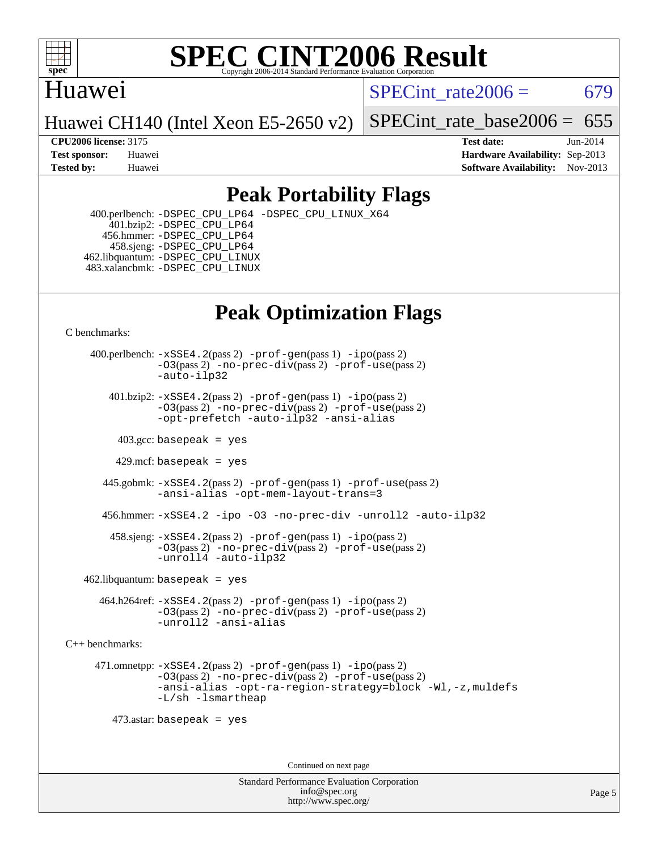

## Huawei

SPECint rate $2006 = 679$ 

Huawei CH140 (Intel Xeon E5-2650 v2)

[SPECint\\_rate\\_base2006 =](http://www.spec.org/auto/cpu2006/Docs/result-fields.html#SPECintratebase2006)  $655$ 

**[CPU2006 license:](http://www.spec.org/auto/cpu2006/Docs/result-fields.html#CPU2006license)** 3175 **[Test date:](http://www.spec.org/auto/cpu2006/Docs/result-fields.html#Testdate)** Jun-2014 **[Test sponsor:](http://www.spec.org/auto/cpu2006/Docs/result-fields.html#Testsponsor)** Huawei **[Hardware Availability:](http://www.spec.org/auto/cpu2006/Docs/result-fields.html#HardwareAvailability)** Sep-2013 **[Tested by:](http://www.spec.org/auto/cpu2006/Docs/result-fields.html#Testedby)** Huawei **[Software Availability:](http://www.spec.org/auto/cpu2006/Docs/result-fields.html#SoftwareAvailability)** Nov-2013

## **[Peak Portability Flags](http://www.spec.org/auto/cpu2006/Docs/result-fields.html#PeakPortabilityFlags)**

 400.perlbench: [-DSPEC\\_CPU\\_LP64](http://www.spec.org/cpu2006/results/res2014q3/cpu2006-20140619-29973.flags.html#b400.perlbench_peakCPORTABILITY_DSPEC_CPU_LP64) [-DSPEC\\_CPU\\_LINUX\\_X64](http://www.spec.org/cpu2006/results/res2014q3/cpu2006-20140619-29973.flags.html#b400.perlbench_peakCPORTABILITY_DSPEC_CPU_LINUX_X64) 401.bzip2: [-DSPEC\\_CPU\\_LP64](http://www.spec.org/cpu2006/results/res2014q3/cpu2006-20140619-29973.flags.html#suite_peakCPORTABILITY401_bzip2_DSPEC_CPU_LP64) 456.hmmer: [-DSPEC\\_CPU\\_LP64](http://www.spec.org/cpu2006/results/res2014q3/cpu2006-20140619-29973.flags.html#suite_peakCPORTABILITY456_hmmer_DSPEC_CPU_LP64) 458.sjeng: [-DSPEC\\_CPU\\_LP64](http://www.spec.org/cpu2006/results/res2014q3/cpu2006-20140619-29973.flags.html#suite_peakCPORTABILITY458_sjeng_DSPEC_CPU_LP64) 462.libquantum: [-DSPEC\\_CPU\\_LINUX](http://www.spec.org/cpu2006/results/res2014q3/cpu2006-20140619-29973.flags.html#b462.libquantum_peakCPORTABILITY_DSPEC_CPU_LINUX) 483.xalancbmk: [-DSPEC\\_CPU\\_LINUX](http://www.spec.org/cpu2006/results/res2014q3/cpu2006-20140619-29973.flags.html#b483.xalancbmk_peakCXXPORTABILITY_DSPEC_CPU_LINUX)

# **[Peak Optimization Flags](http://www.spec.org/auto/cpu2006/Docs/result-fields.html#PeakOptimizationFlags)**

[C benchmarks](http://www.spec.org/auto/cpu2006/Docs/result-fields.html#Cbenchmarks):

 400.perlbench: [-xSSE4.2](http://www.spec.org/cpu2006/results/res2014q3/cpu2006-20140619-29973.flags.html#user_peakPASS2_CFLAGSPASS2_LDCFLAGS400_perlbench_f-xSSE42_f91528193cf0b216347adb8b939d4107)(pass 2) [-prof-gen](http://www.spec.org/cpu2006/results/res2014q3/cpu2006-20140619-29973.flags.html#user_peakPASS1_CFLAGSPASS1_LDCFLAGS400_perlbench_prof_gen_e43856698f6ca7b7e442dfd80e94a8fc)(pass 1) [-ipo](http://www.spec.org/cpu2006/results/res2014q3/cpu2006-20140619-29973.flags.html#user_peakPASS2_CFLAGSPASS2_LDCFLAGS400_perlbench_f-ipo)(pass 2) [-O3](http://www.spec.org/cpu2006/results/res2014q3/cpu2006-20140619-29973.flags.html#user_peakPASS2_CFLAGSPASS2_LDCFLAGS400_perlbench_f-O3)(pass 2) [-no-prec-div](http://www.spec.org/cpu2006/results/res2014q3/cpu2006-20140619-29973.flags.html#user_peakPASS2_CFLAGSPASS2_LDCFLAGS400_perlbench_f-no-prec-div)(pass 2) [-prof-use](http://www.spec.org/cpu2006/results/res2014q3/cpu2006-20140619-29973.flags.html#user_peakPASS2_CFLAGSPASS2_LDCFLAGS400_perlbench_prof_use_bccf7792157ff70d64e32fe3e1250b55)(pass 2) [-auto-ilp32](http://www.spec.org/cpu2006/results/res2014q3/cpu2006-20140619-29973.flags.html#user_peakCOPTIMIZE400_perlbench_f-auto-ilp32)  $401.bzip2: -xSSE4.2(pass 2) -prof-qen(pass 1) -ipo(pass 2)$  $401.bzip2: -xSSE4.2(pass 2) -prof-qen(pass 1) -ipo(pass 2)$  $401.bzip2: -xSSE4.2(pass 2) -prof-qen(pass 1) -ipo(pass 2)$  $401.bzip2: -xSSE4.2(pass 2) -prof-qen(pass 1) -ipo(pass 2)$  $401.bzip2: -xSSE4.2(pass 2) -prof-qen(pass 1) -ipo(pass 2)$ [-O3](http://www.spec.org/cpu2006/results/res2014q3/cpu2006-20140619-29973.flags.html#user_peakPASS2_CFLAGSPASS2_LDCFLAGS401_bzip2_f-O3)(pass 2) [-no-prec-div](http://www.spec.org/cpu2006/results/res2014q3/cpu2006-20140619-29973.flags.html#user_peakPASS2_CFLAGSPASS2_LDCFLAGS401_bzip2_f-no-prec-div)(pass 2) [-prof-use](http://www.spec.org/cpu2006/results/res2014q3/cpu2006-20140619-29973.flags.html#user_peakPASS2_CFLAGSPASS2_LDCFLAGS401_bzip2_prof_use_bccf7792157ff70d64e32fe3e1250b55)(pass 2) [-opt-prefetch](http://www.spec.org/cpu2006/results/res2014q3/cpu2006-20140619-29973.flags.html#user_peakCOPTIMIZE401_bzip2_f-opt-prefetch) [-auto-ilp32](http://www.spec.org/cpu2006/results/res2014q3/cpu2006-20140619-29973.flags.html#user_peakCOPTIMIZE401_bzip2_f-auto-ilp32) [-ansi-alias](http://www.spec.org/cpu2006/results/res2014q3/cpu2006-20140619-29973.flags.html#user_peakCOPTIMIZE401_bzip2_f-ansi-alias)  $403.\text{sec: basepeak}$  = yes 429.mcf: basepeak = yes 445.gobmk: [-xSSE4.2](http://www.spec.org/cpu2006/results/res2014q3/cpu2006-20140619-29973.flags.html#user_peakPASS2_CFLAGSPASS2_LDCFLAGS445_gobmk_f-xSSE42_f91528193cf0b216347adb8b939d4107)(pass 2) [-prof-gen](http://www.spec.org/cpu2006/results/res2014q3/cpu2006-20140619-29973.flags.html#user_peakPASS1_CFLAGSPASS1_LDCFLAGS445_gobmk_prof_gen_e43856698f6ca7b7e442dfd80e94a8fc)(pass 1) [-prof-use](http://www.spec.org/cpu2006/results/res2014q3/cpu2006-20140619-29973.flags.html#user_peakPASS2_CFLAGSPASS2_LDCFLAGS445_gobmk_prof_use_bccf7792157ff70d64e32fe3e1250b55)(pass 2) [-ansi-alias](http://www.spec.org/cpu2006/results/res2014q3/cpu2006-20140619-29973.flags.html#user_peakCOPTIMIZE445_gobmk_f-ansi-alias) [-opt-mem-layout-trans=3](http://www.spec.org/cpu2006/results/res2014q3/cpu2006-20140619-29973.flags.html#user_peakCOPTIMIZE445_gobmk_f-opt-mem-layout-trans_a7b82ad4bd7abf52556d4961a2ae94d5) 456.hmmer: [-xSSE4.2](http://www.spec.org/cpu2006/results/res2014q3/cpu2006-20140619-29973.flags.html#user_peakCOPTIMIZE456_hmmer_f-xSSE42_f91528193cf0b216347adb8b939d4107) [-ipo](http://www.spec.org/cpu2006/results/res2014q3/cpu2006-20140619-29973.flags.html#user_peakCOPTIMIZE456_hmmer_f-ipo) [-O3](http://www.spec.org/cpu2006/results/res2014q3/cpu2006-20140619-29973.flags.html#user_peakCOPTIMIZE456_hmmer_f-O3) [-no-prec-div](http://www.spec.org/cpu2006/results/res2014q3/cpu2006-20140619-29973.flags.html#user_peakCOPTIMIZE456_hmmer_f-no-prec-div) [-unroll2](http://www.spec.org/cpu2006/results/res2014q3/cpu2006-20140619-29973.flags.html#user_peakCOPTIMIZE456_hmmer_f-unroll_784dae83bebfb236979b41d2422d7ec2) [-auto-ilp32](http://www.spec.org/cpu2006/results/res2014q3/cpu2006-20140619-29973.flags.html#user_peakCOPTIMIZE456_hmmer_f-auto-ilp32) 458.sjeng: [-xSSE4.2](http://www.spec.org/cpu2006/results/res2014q3/cpu2006-20140619-29973.flags.html#user_peakPASS2_CFLAGSPASS2_LDCFLAGS458_sjeng_f-xSSE42_f91528193cf0b216347adb8b939d4107)(pass 2) [-prof-gen](http://www.spec.org/cpu2006/results/res2014q3/cpu2006-20140619-29973.flags.html#user_peakPASS1_CFLAGSPASS1_LDCFLAGS458_sjeng_prof_gen_e43856698f6ca7b7e442dfd80e94a8fc)(pass 1) [-ipo](http://www.spec.org/cpu2006/results/res2014q3/cpu2006-20140619-29973.flags.html#user_peakPASS2_CFLAGSPASS2_LDCFLAGS458_sjeng_f-ipo)(pass 2) [-O3](http://www.spec.org/cpu2006/results/res2014q3/cpu2006-20140619-29973.flags.html#user_peakPASS2_CFLAGSPASS2_LDCFLAGS458_sjeng_f-O3)(pass 2) [-no-prec-div](http://www.spec.org/cpu2006/results/res2014q3/cpu2006-20140619-29973.flags.html#user_peakPASS2_CFLAGSPASS2_LDCFLAGS458_sjeng_f-no-prec-div)(pass 2) [-prof-use](http://www.spec.org/cpu2006/results/res2014q3/cpu2006-20140619-29973.flags.html#user_peakPASS2_CFLAGSPASS2_LDCFLAGS458_sjeng_prof_use_bccf7792157ff70d64e32fe3e1250b55)(pass 2) [-unroll4](http://www.spec.org/cpu2006/results/res2014q3/cpu2006-20140619-29973.flags.html#user_peakCOPTIMIZE458_sjeng_f-unroll_4e5e4ed65b7fd20bdcd365bec371b81f) [-auto-ilp32](http://www.spec.org/cpu2006/results/res2014q3/cpu2006-20140619-29973.flags.html#user_peakCOPTIMIZE458_sjeng_f-auto-ilp32)  $462$ .libquantum: basepeak = yes

 464.h264ref: [-xSSE4.2](http://www.spec.org/cpu2006/results/res2014q3/cpu2006-20140619-29973.flags.html#user_peakPASS2_CFLAGSPASS2_LDCFLAGS464_h264ref_f-xSSE42_f91528193cf0b216347adb8b939d4107)(pass 2) [-prof-gen](http://www.spec.org/cpu2006/results/res2014q3/cpu2006-20140619-29973.flags.html#user_peakPASS1_CFLAGSPASS1_LDCFLAGS464_h264ref_prof_gen_e43856698f6ca7b7e442dfd80e94a8fc)(pass 1) [-ipo](http://www.spec.org/cpu2006/results/res2014q3/cpu2006-20140619-29973.flags.html#user_peakPASS2_CFLAGSPASS2_LDCFLAGS464_h264ref_f-ipo)(pass 2) [-O3](http://www.spec.org/cpu2006/results/res2014q3/cpu2006-20140619-29973.flags.html#user_peakPASS2_CFLAGSPASS2_LDCFLAGS464_h264ref_f-O3)(pass 2) [-no-prec-div](http://www.spec.org/cpu2006/results/res2014q3/cpu2006-20140619-29973.flags.html#user_peakPASS2_CFLAGSPASS2_LDCFLAGS464_h264ref_f-no-prec-div)(pass 2) [-prof-use](http://www.spec.org/cpu2006/results/res2014q3/cpu2006-20140619-29973.flags.html#user_peakPASS2_CFLAGSPASS2_LDCFLAGS464_h264ref_prof_use_bccf7792157ff70d64e32fe3e1250b55)(pass 2) [-unroll2](http://www.spec.org/cpu2006/results/res2014q3/cpu2006-20140619-29973.flags.html#user_peakCOPTIMIZE464_h264ref_f-unroll_784dae83bebfb236979b41d2422d7ec2) [-ansi-alias](http://www.spec.org/cpu2006/results/res2014q3/cpu2006-20140619-29973.flags.html#user_peakCOPTIMIZE464_h264ref_f-ansi-alias)

[C++ benchmarks:](http://www.spec.org/auto/cpu2006/Docs/result-fields.html#CXXbenchmarks)

 471.omnetpp: [-xSSE4.2](http://www.spec.org/cpu2006/results/res2014q3/cpu2006-20140619-29973.flags.html#user_peakPASS2_CXXFLAGSPASS2_LDCXXFLAGS471_omnetpp_f-xSSE42_f91528193cf0b216347adb8b939d4107)(pass 2) [-prof-gen](http://www.spec.org/cpu2006/results/res2014q3/cpu2006-20140619-29973.flags.html#user_peakPASS1_CXXFLAGSPASS1_LDCXXFLAGS471_omnetpp_prof_gen_e43856698f6ca7b7e442dfd80e94a8fc)(pass 1) [-ipo](http://www.spec.org/cpu2006/results/res2014q3/cpu2006-20140619-29973.flags.html#user_peakPASS2_CXXFLAGSPASS2_LDCXXFLAGS471_omnetpp_f-ipo)(pass 2) [-O3](http://www.spec.org/cpu2006/results/res2014q3/cpu2006-20140619-29973.flags.html#user_peakPASS2_CXXFLAGSPASS2_LDCXXFLAGS471_omnetpp_f-O3)(pass 2) [-no-prec-div](http://www.spec.org/cpu2006/results/res2014q3/cpu2006-20140619-29973.flags.html#user_peakPASS2_CXXFLAGSPASS2_LDCXXFLAGS471_omnetpp_f-no-prec-div)(pass 2) [-prof-use](http://www.spec.org/cpu2006/results/res2014q3/cpu2006-20140619-29973.flags.html#user_peakPASS2_CXXFLAGSPASS2_LDCXXFLAGS471_omnetpp_prof_use_bccf7792157ff70d64e32fe3e1250b55)(pass 2) [-ansi-alias](http://www.spec.org/cpu2006/results/res2014q3/cpu2006-20140619-29973.flags.html#user_peakCXXOPTIMIZE471_omnetpp_f-ansi-alias) [-opt-ra-region-strategy=block](http://www.spec.org/cpu2006/results/res2014q3/cpu2006-20140619-29973.flags.html#user_peakCXXOPTIMIZE471_omnetpp_f-opt-ra-region-strategy_a0a37c372d03933b2a18d4af463c1f69) [-Wl,-z,muldefs](http://www.spec.org/cpu2006/results/res2014q3/cpu2006-20140619-29973.flags.html#user_peakEXTRA_LDFLAGS471_omnetpp_link_force_multiple1_74079c344b956b9658436fd1b6dd3a8a) [-L/sh -lsmartheap](http://www.spec.org/cpu2006/results/res2014q3/cpu2006-20140619-29973.flags.html#user_peakEXTRA_LIBS471_omnetpp_SmartHeap_32f6c82aa1ed9c52345d30cf6e4a0499)

473.astar: basepeak = yes

Continued on next page